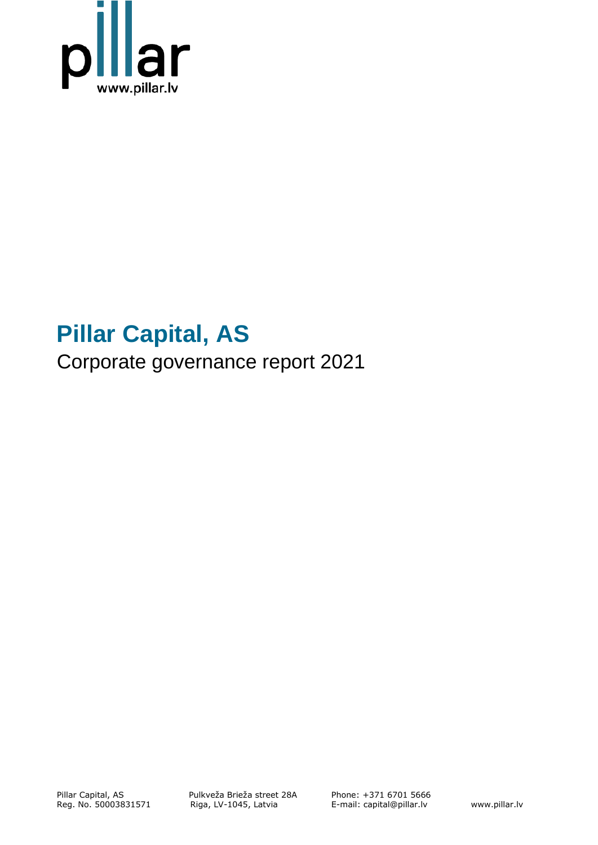

# **Pillar Capital, AS**

Corporate governance report 2021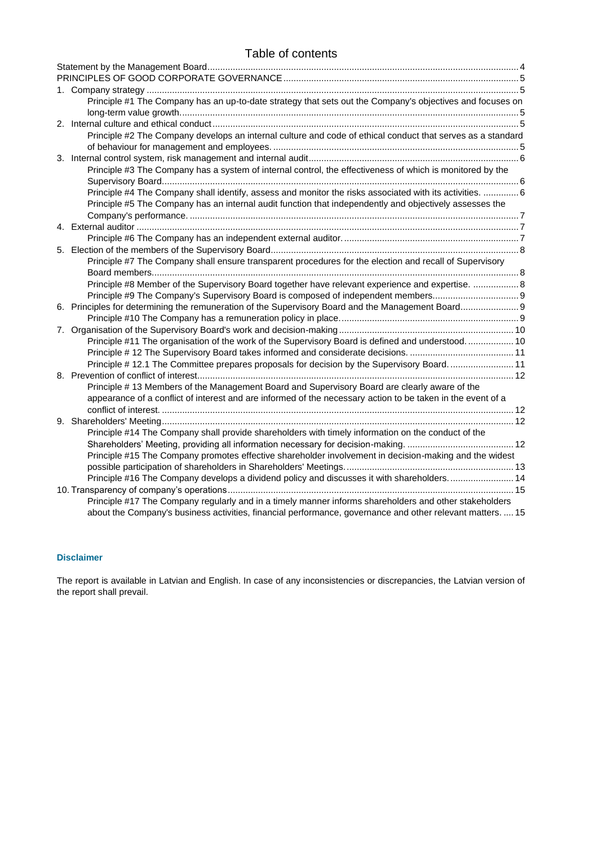# Table of contents

|  | Principle #1 The Company has an up-to-date strategy that sets out the Company's objectives and focuses on   |  |
|--|-------------------------------------------------------------------------------------------------------------|--|
|  |                                                                                                             |  |
|  |                                                                                                             |  |
|  | Principle #2 The Company develops an internal culture and code of ethical conduct that serves as a standard |  |
|  |                                                                                                             |  |
|  |                                                                                                             |  |
|  | Principle #3 The Company has a system of internal control, the effectiveness of which is monitored by the   |  |
|  |                                                                                                             |  |
|  | Principle #4 The Company shall identify, assess and monitor the risks associated with its activities. 6     |  |
|  | Principle #5 The Company has an internal audit function that independently and objectively assesses the     |  |
|  |                                                                                                             |  |
|  |                                                                                                             |  |
|  |                                                                                                             |  |
|  |                                                                                                             |  |
|  | Principle #7 The Company shall ensure transparent procedures for the election and recall of Supervisory     |  |
|  |                                                                                                             |  |
|  | Principle #8 Member of the Supervisory Board together have relevant experience and expertise.  8            |  |
|  | Principle #9 The Company's Supervisory Board is composed of independent members 9                           |  |
|  |                                                                                                             |  |
|  |                                                                                                             |  |
|  |                                                                                                             |  |
|  | Principle #11 The organisation of the work of the Supervisory Board is defined and understood 10            |  |
|  |                                                                                                             |  |
|  | Principle #12.1 The Committee prepares proposals for decision by the Supervisory Board11                    |  |
|  |                                                                                                             |  |
|  | Principle # 13 Members of the Management Board and Supervisory Board are clearly aware of the               |  |
|  | appearance of a conflict of interest and are informed of the necessary action to be taken in the event of a |  |
|  |                                                                                                             |  |
|  |                                                                                                             |  |
|  | Principle #14 The Company shall provide shareholders with timely information on the conduct of the          |  |
|  |                                                                                                             |  |
|  | Principle #15 The Company promotes effective shareholder involvement in decision-making and the widest      |  |
|  |                                                                                                             |  |
|  | Principle #16 The Company develops a dividend policy and discusses it with shareholders 14                  |  |
|  |                                                                                                             |  |
|  | Principle #17 The Company regularly and in a timely manner informs shareholders and other stakeholders      |  |
|  | about the Company's business activities, financial performance, governance and other relevant matters.  15  |  |

## **Disclaimer**

The report is available in Latvian and English. In case of any inconsistencies or discrepancies, the Latvian version of the report shall prevail.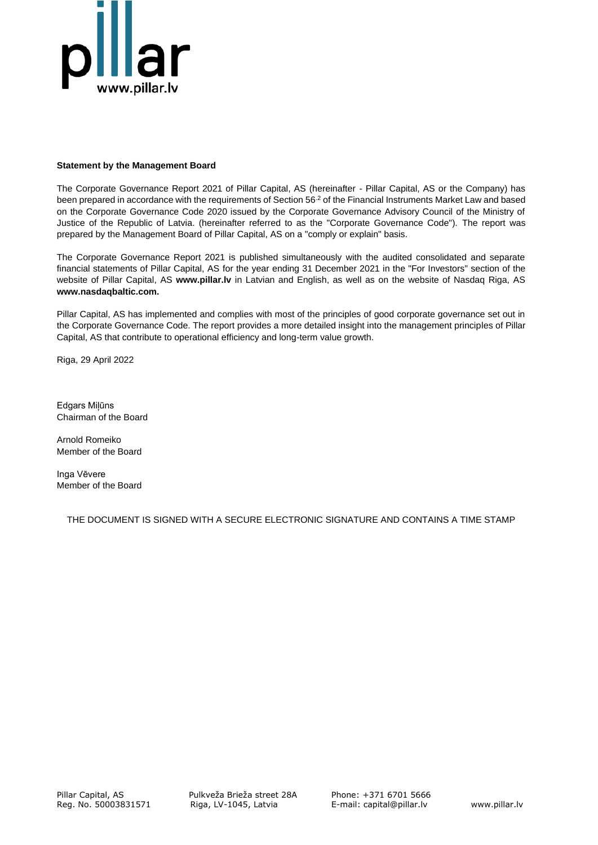

### <span id="page-2-0"></span>**Statement by the Management Board**

The Corporate Governance Report 2021 of Pillar Capital, AS (hereinafter - Pillar Capital, AS or the Company) has been prepared in accordance with the requirements of Section 56<sup>2</sup> of the Financial Instruments Market Law and based on the Corporate Governance Code 2020 issued by the Corporate Governance Advisory Council of the Ministry of Justice of the Republic of Latvia. (hereinafter referred to as the "Corporate Governance Code"). The report was prepared by the Management Board of Pillar Capital, AS on a "comply or explain" basis.

The Corporate Governance Report 2021 is published simultaneously with the audited consolidated and separate financial statements of Pillar Capital, AS for the year ending 31 December 2021 in the "For Investors" section of the website of Pillar Capital, AS **[www.pillar.lv](http://www.nh.capital/)** in Latvian and English, as well as on the website of Nasdaq Riga, AS **[www.nasdaqbaltic.com.](http://www.nasdaqbaltic.com/)**

Pillar Capital, AS has implemented and complies with most of the principles of good corporate governance set out in the Corporate Governance Code. The report provides a more detailed insight into the management principles of Pillar Capital, AS that contribute to operational efficiency and long-term value growth.

Riga, 29 April 2022

Edgars Miļūns Chairman of the Board

Arnold Romeiko Member of the Board

Inga Vēvere Member of the Board

THE DOCUMENT IS SIGNED WITH A SECURE ELECTRONIC SIGNATURE AND CONTAINS A TIME STAMP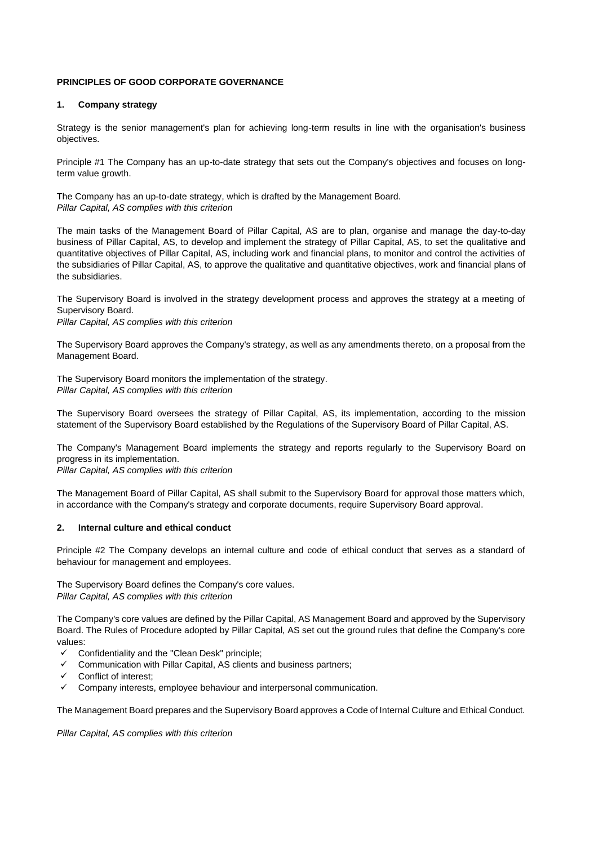#### <span id="page-3-0"></span>**PRINCIPLES OF GOOD CORPORATE GOVERNANCE**

#### <span id="page-3-1"></span>**1. Company strategy**

Strategy is the senior management's plan for achieving long-term results in line with the organisation's business objectives.

<span id="page-3-2"></span>Principle #1 The Company has an up-to-date strategy that sets out the Company's objectives and focuses on longterm value growth.

The Company has an up-to-date strategy, which is drafted by the Management Board. *Pillar Capital, AS complies with this criterion*

The main tasks of the Management Board of Pillar Capital, AS are to plan, organise and manage the day-to-day business of Pillar Capital, AS, to develop and implement the strategy of Pillar Capital, AS, to set the qualitative and quantitative objectives of Pillar Capital, AS, including work and financial plans, to monitor and control the activities of the subsidiaries of Pillar Capital, AS, to approve the qualitative and quantitative objectives, work and financial plans of the subsidiaries.

The Supervisory Board is involved in the strategy development process and approves the strategy at a meeting of Supervisory Board.

*Pillar Capital, AS complies with this criterion* 

The Supervisory Board approves the Company's strategy, as well as any amendments thereto, on a proposal from the Management Board.

The Supervisory Board monitors the implementation of the strategy. *Pillar Capital, AS complies with this criterion* 

The Supervisory Board oversees the strategy of Pillar Capital, AS, its implementation, according to the mission statement of the Supervisory Board established by the Regulations of the Supervisory Board of Pillar Capital, AS.

The Company's Management Board implements the strategy and reports regularly to the Supervisory Board on progress in its implementation.

*Pillar Capital, AS complies with this criterion* 

The Management Board of Pillar Capital, AS shall submit to the Supervisory Board for approval those matters which, in accordance with the Company's strategy and corporate documents, require Supervisory Board approval.

#### <span id="page-3-3"></span>**2. Internal culture and ethical conduct**

<span id="page-3-4"></span>Principle #2 The Company develops an internal culture and code of ethical conduct that serves as a standard of behaviour for management and employees.

The Supervisory Board defines the Company's core values. *Pillar Capital, AS complies with this criterion*

The Company's core values are defined by the Pillar Capital, AS Management Board and approved by the Supervisory Board. The Rules of Procedure adopted by Pillar Capital, AS set out the ground rules that define the Company's core values:

- $\checkmark$  Confidentiality and the "Clean Desk" principle;
- ✓ Communication with Pillar Capital, AS clients and business partners;
- Conflict of interest;
- $\checkmark$  Company interests, employee behaviour and interpersonal communication.

The Management Board prepares and the Supervisory Board approves a Code of Internal Culture and Ethical Conduct.

*Pillar Capital, AS complies with this criterion*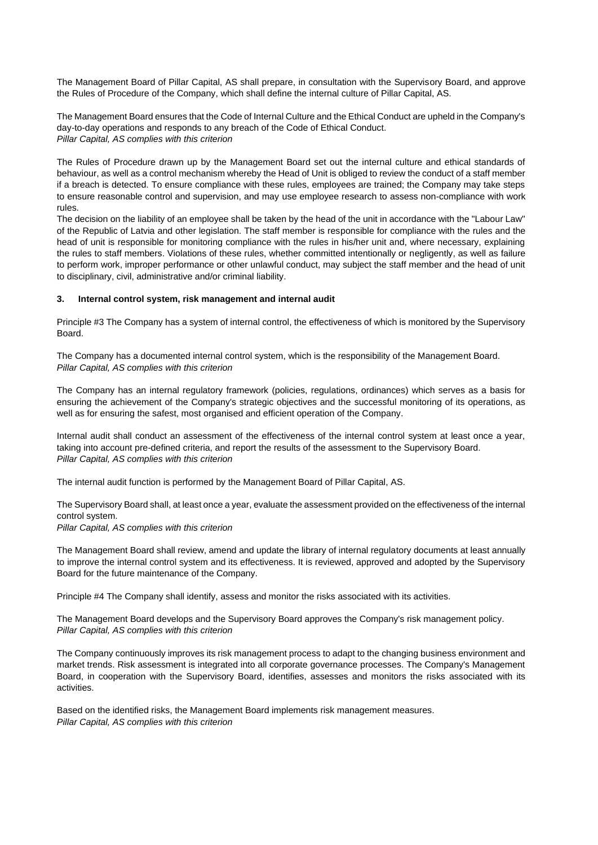The Management Board of Pillar Capital, AS shall prepare, in consultation with the Supervisory Board, and approve the Rules of Procedure of the Company, which shall define the internal culture of Pillar Capital, AS.

The Management Board ensures that the Code of Internal Culture and the Ethical Conduct are upheld in the Company's day-to-day operations and responds to any breach of the Code of Ethical Conduct. *Pillar Capital, AS complies with this criterion*

The Rules of Procedure drawn up by the Management Board set out the internal culture and ethical standards of behaviour, as well as a control mechanism whereby the Head of Unit is obliged to review the conduct of a staff member if a breach is detected. To ensure compliance with these rules, employees are trained; the Company may take steps to ensure reasonable control and supervision, and may use employee research to assess non-compliance with work rules.

The decision on the liability of an employee shall be taken by the head of the unit in accordance with the "Labour Law" of the Republic of Latvia and other legislation. The staff member is responsible for compliance with the rules and the head of unit is responsible for monitoring compliance with the rules in his/her unit and, where necessary, explaining the rules to staff members. Violations of these rules, whether committed intentionally or negligently, as well as failure to perform work, improper performance or other unlawful conduct, may subject the staff member and the head of unit to disciplinary, civil, administrative and/or criminal liability.

#### <span id="page-4-0"></span>**3. Internal control system, risk management and internal audit**

<span id="page-4-1"></span>Principle #3 The Company has a system of internal control, the effectiveness of which is monitored by the Supervisory Board.

The Company has a documented internal control system, which is the responsibility of the Management Board. *Pillar Capital, AS complies with this criterion*

The Company has an internal regulatory framework (policies, regulations, ordinances) which serves as a basis for ensuring the achievement of the Company's strategic objectives and the successful monitoring of its operations, as well as for ensuring the safest, most organised and efficient operation of the Company.

Internal audit shall conduct an assessment of the effectiveness of the internal control system at least once a year, taking into account pre-defined criteria, and report the results of the assessment to the Supervisory Board. *Pillar Capital, AS complies with this criterion*

The internal audit function is performed by the Management Board of Pillar Capital, AS.

The Supervisory Board shall, at least once a year, evaluate the assessment provided on the effectiveness of the internal control system.

*Pillar Capital, AS complies with this criterion*

The Management Board shall review, amend and update the library of internal regulatory documents at least annually to improve the internal control system and its effectiveness. It is reviewed, approved and adopted by the Supervisory Board for the future maintenance of the Company.

<span id="page-4-2"></span>Principle #4 The Company shall identify, assess and monitor the risks associated with its activities.

The Management Board develops and the Supervisory Board approves the Company's risk management policy. *Pillar Capital, AS complies with this criterion*

The Company continuously improves its risk management process to adapt to the changing business environment and market trends. Risk assessment is integrated into all corporate governance processes. The Company's Management Board, in cooperation with the Supervisory Board, identifies, assesses and monitors the risks associated with its activities.

Based on the identified risks, the Management Board implements risk management measures. *Pillar Capital, AS complies with this criterion*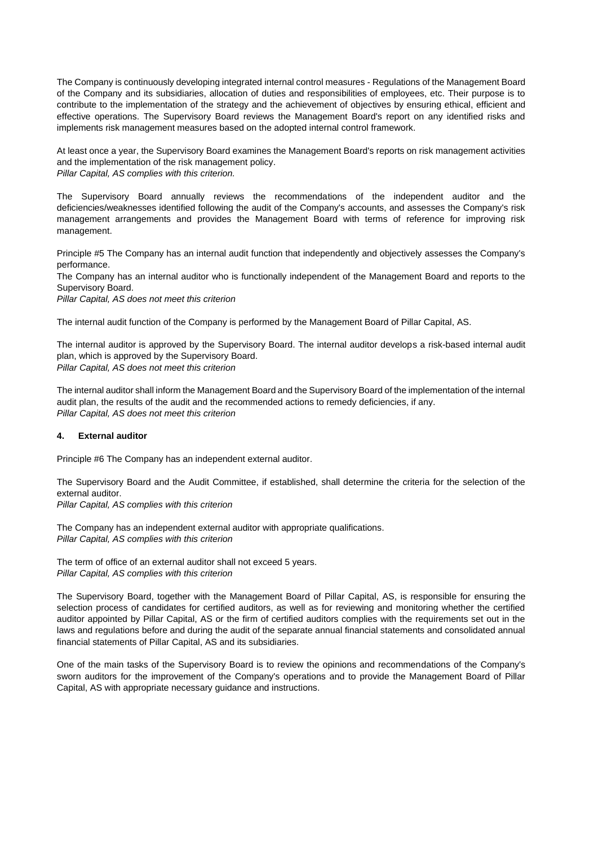The Company is continuously developing integrated internal control measures - Regulations of the Management Board of the Company and its subsidiaries, allocation of duties and responsibilities of employees, etc. Their purpose is to contribute to the implementation of the strategy and the achievement of objectives by ensuring ethical, efficient and effective operations. The Supervisory Board reviews the Management Board's report on any identified risks and implements risk management measures based on the adopted internal control framework.

At least once a year, the Supervisory Board examines the Management Board's reports on risk management activities and the implementation of the risk management policy. *Pillar Capital, AS complies with this criterion.*

The Supervisory Board annually reviews the recommendations of the independent auditor and the deficiencies/weaknesses identified following the audit of the Company's accounts, and assesses the Company's risk management arrangements and provides the Management Board with terms of reference for improving risk management.

<span id="page-5-0"></span>Principle #5 The Company has an internal audit function that independently and objectively assesses the Company's performance.

The Company has an internal auditor who is functionally independent of the Management Board and reports to the Supervisory Board.

*Pillar Capital, AS does not meet this criterion*

The internal audit function of the Company is performed by the Management Board of Pillar Capital, AS.

The internal auditor is approved by the Supervisory Board. The internal auditor develops a risk-based internal audit plan, which is approved by the Supervisory Board. *Pillar Capital, AS does not meet this criterion*

The internal auditor shall inform the Management Board and the Supervisory Board of the implementation of the internal audit plan, the results of the audit and the recommended actions to remedy deficiencies, if any. *Pillar Capital, AS does not meet this criterion*

#### <span id="page-5-1"></span>**4. External auditor**

<span id="page-5-2"></span>Principle #6 The Company has an independent external auditor.

The Supervisory Board and the Audit Committee, if established, shall determine the criteria for the selection of the external auditor.

*Pillar Capital, AS complies with this criterion*

The Company has an independent external auditor with appropriate qualifications. *Pillar Capital, AS complies with this criterion*

The term of office of an external auditor shall not exceed 5 years. *Pillar Capital, AS complies with this criterion*

The Supervisory Board, together with the Management Board of Pillar Capital, AS, is responsible for ensuring the selection process of candidates for certified auditors, as well as for reviewing and monitoring whether the certified auditor appointed by Pillar Capital, AS or the firm of certified auditors complies with the requirements set out in the laws and regulations before and during the audit of the separate annual financial statements and consolidated annual financial statements of Pillar Capital, AS and its subsidiaries.

One of the main tasks of the Supervisory Board is to review the opinions and recommendations of the Company's sworn auditors for the improvement of the Company's operations and to provide the Management Board of Pillar Capital, AS with appropriate necessary guidance and instructions.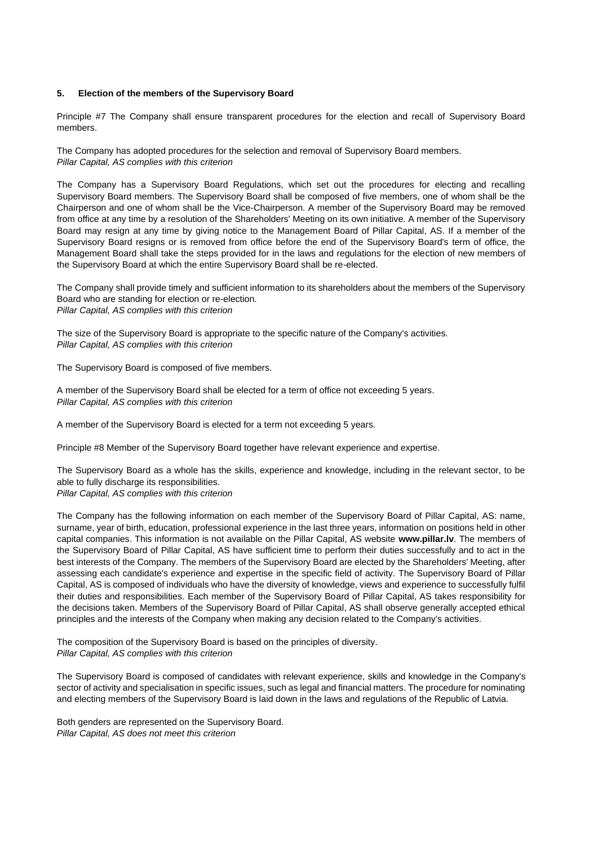#### <span id="page-6-0"></span>**5. Election of the members of the Supervisory Board**

<span id="page-6-1"></span>Principle #7 The Company shall ensure transparent procedures for the election and recall of Supervisory Board members.

The Company has adopted procedures for the selection and removal of Supervisory Board members. *Pillar Capital, AS complies with this criterion*

The Company has a Supervisory Board Regulations, which set out the procedures for electing and recalling Supervisory Board members. The Supervisory Board shall be composed of five members, one of whom shall be the Chairperson and one of whom shall be the Vice-Chairperson. A member of the Supervisory Board may be removed from office at any time by a resolution of the Shareholders' Meeting on its own initiative. A member of the Supervisory Board may resign at any time by giving notice to the Management Board of Pillar Capital, AS. If a member of the Supervisory Board resigns or is removed from office before the end of the Supervisory Board's term of office, the Management Board shall take the steps provided for in the laws and regulations for the election of new members of the Supervisory Board at which the entire Supervisory Board shall be re-elected.

The Company shall provide timely and sufficient information to its shareholders about the members of the Supervisory Board who are standing for election or re-election. *Pillar Capital, AS complies with this criterion*

The size of the Supervisory Board is appropriate to the specific nature of the Company's activities. *Pillar Capital, AS complies with this criterion*

The Supervisory Board is composed of five members.

A member of the Supervisory Board shall be elected for a term of office not exceeding 5 years. *Pillar Capital, AS complies with this criterion*

A member of the Supervisory Board is elected for a term not exceeding 5 years.

<span id="page-6-2"></span>Principle #8 Member of the Supervisory Board together have relevant experience and expertise.

The Supervisory Board as a whole has the skills, experience and knowledge, including in the relevant sector, to be able to fully discharge its responsibilities. *Pillar Capital, AS complies with this criterion*

The Company has the following information on each member of the Supervisory Board of Pillar Capital, AS: name, surname, year of birth, education, professional experience in the last three years, information on positions held in other capital companies. This information is not available on the Pillar Capital, AS website **[www.pillar.lv](http://www.nh.capital/)**. The members of the Supervisory Board of Pillar Capital, AS have sufficient time to perform their duties successfully and to act in the best interests of the Company. The members of the Supervisory Board are elected by the Shareholders' Meeting, after assessing each candidate's experience and expertise in the specific field of activity. The Supervisory Board of Pillar Capital, AS is composed of individuals who have the diversity of knowledge, views and experience to successfully fulfil their duties and responsibilities. Each member of the Supervisory Board of Pillar Capital, AS takes responsibility for the decisions taken. Members of the Supervisory Board of Pillar Capital, AS shall observe generally accepted ethical principles and the interests of the Company when making any decision related to the Company's activities.

The composition of the Supervisory Board is based on the principles of diversity. *Pillar Capital, AS complies with this criterion*

The Supervisory Board is composed of candidates with relevant experience, skills and knowledge in the Company's sector of activity and specialisation in specific issues, such as legal and financial matters. The procedure for nominating and electing members of the Supervisory Board is laid down in the laws and regulations of the Republic of Latvia.

Both genders are represented on the Supervisory Board. *Pillar Capital, AS does not meet this criterion*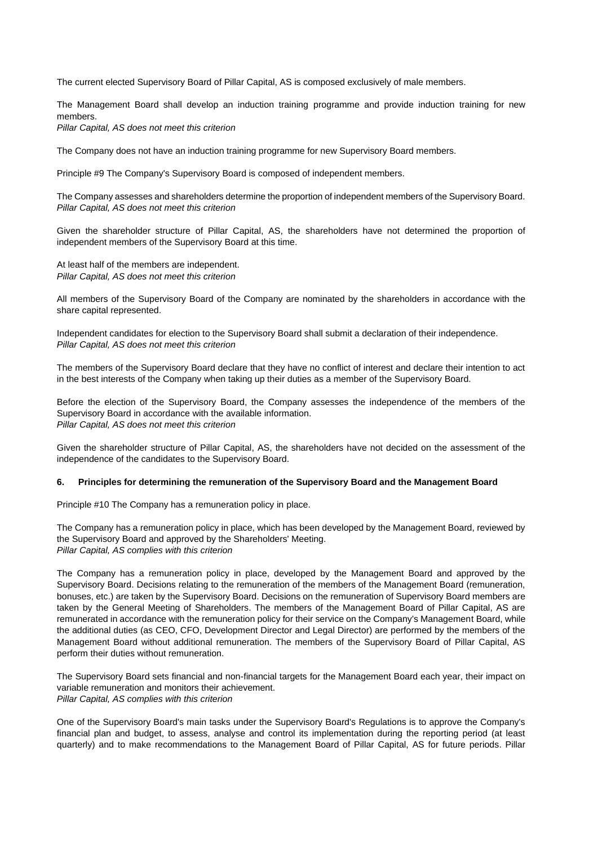The current elected Supervisory Board of Pillar Capital, AS is composed exclusively of male members.

The Management Board shall develop an induction training programme and provide induction training for new members.

*Pillar Capital, AS does not meet this criterion*

The Company does not have an induction training programme for new Supervisory Board members.

<span id="page-7-0"></span>Principle #9 The Company's Supervisory Board is composed of independent members.

The Company assesses and shareholders determine the proportion of independent members of the Supervisory Board. *Pillar Capital, AS does not meet this criterion*

Given the shareholder structure of Pillar Capital, AS, the shareholders have not determined the proportion of independent members of the Supervisory Board at this time.

At least half of the members are independent. *Pillar Capital, AS does not meet this criterion*

All members of the Supervisory Board of the Company are nominated by the shareholders in accordance with the share capital represented.

Independent candidates for election to the Supervisory Board shall submit a declaration of their independence. *Pillar Capital, AS does not meet this criterion*

The members of the Supervisory Board declare that they have no conflict of interest and declare their intention to act in the best interests of the Company when taking up their duties as a member of the Supervisory Board.

Before the election of the Supervisory Board, the Company assesses the independence of the members of the Supervisory Board in accordance with the available information. *Pillar Capital, AS does not meet this criterion*

Given the shareholder structure of Pillar Capital, AS, the shareholders have not decided on the assessment of the independence of the candidates to the Supervisory Board.

#### <span id="page-7-1"></span>**6. Principles for determining the remuneration of the Supervisory Board and the Management Board**

<span id="page-7-2"></span>Principle #10 The Company has a remuneration policy in place.

The Company has a remuneration policy in place, which has been developed by the Management Board, reviewed by the Supervisory Board and approved by the Shareholders' Meeting. *Pillar Capital, AS complies with this criterion*

The Company has a remuneration policy in place, developed by the Management Board and approved by the Supervisory Board. Decisions relating to the remuneration of the members of the Management Board (remuneration, bonuses, etc.) are taken by the Supervisory Board. Decisions on the remuneration of Supervisory Board members are taken by the General Meeting of Shareholders. The members of the Management Board of Pillar Capital, AS are remunerated in accordance with the remuneration policy for their service on the Company's Management Board, while the additional duties (as CEO, CFO, Development Director and Legal Director) are performed by the members of the Management Board without additional remuneration. The members of the Supervisory Board of Pillar Capital, AS perform their duties without remuneration.

The Supervisory Board sets financial and non-financial targets for the Management Board each year, their impact on variable remuneration and monitors their achievement. *Pillar Capital, AS complies with this criterion*

One of the Supervisory Board's main tasks under the Supervisory Board's Regulations is to approve the Company's financial plan and budget, to assess, analyse and control its implementation during the reporting period (at least quarterly) and to make recommendations to the Management Board of Pillar Capital, AS for future periods. Pillar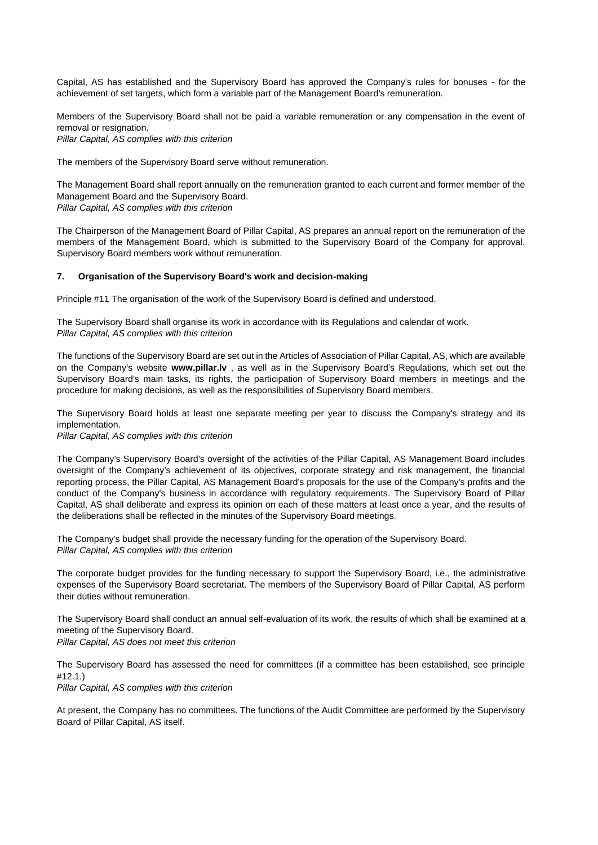Capital, AS has established and the Supervisory Board has approved the Company's rules for bonuses - for the achievement of set targets, which form a variable part of the Management Board's remuneration.

Members of the Supervisory Board shall not be paid a variable remuneration or any compensation in the event of removal or resignation.

*Pillar Capital, AS complies with this criterion*

The members of the Supervisory Board serve without remuneration.

The Management Board shall report annually on the remuneration granted to each current and former member of the Management Board and the Supervisory Board. *Pillar Capital, AS complies with this criterion*

The Chairperson of the Management Board of Pillar Capital, AS prepares an annual report on the remuneration of the members of the Management Board, which is submitted to the Supervisory Board of the Company for approval. Supervisory Board members work without remuneration.

#### <span id="page-8-0"></span>**7. Organisation of the Supervisory Board's work and decision-making**

<span id="page-8-1"></span>Principle #11 The organisation of the work of the Supervisory Board is defined and understood.

The Supervisory Board shall organise its work in accordance with its Regulations and calendar of work. *Pillar Capital, AS complies with this criterion*

The functions of the Supervisory Board are set out in the Articles of Association of Pillar Capital, AS, which are available on the Company's website **www.pillar.lv** , as well as in the Supervisory Board's Regulations, which set out the Supervisory Board's main tasks, its rights, the participation of Supervisory Board members in meetings and the procedure for making decisions, as well as the responsibilities of Supervisory Board members.

The Supervisory Board holds at least one separate meeting per year to discuss the Company's strategy and its implementation.

*Pillar Capital, AS complies with this criterion*

The Company's Supervisory Board's oversight of the activities of the Pillar Capital, AS Management Board includes oversight of the Company's achievement of its objectives, corporate strategy and risk management, the financial reporting process, the Pillar Capital, AS Management Board's proposals for the use of the Company's profits and the conduct of the Company's business in accordance with regulatory requirements. The Supervisory Board of Pillar Capital, AS shall deliberate and express its opinion on each of these matters at least once a year, and the results of the deliberations shall be reflected in the minutes of the Supervisory Board meetings.

The Company's budget shall provide the necessary funding for the operation of the Supervisory Board. *Pillar Capital, AS complies with this criterion*

The corporate budget provides for the funding necessary to support the Supervisory Board, i.e., the administrative expenses of the Supervisory Board secretariat. The members of the Supervisory Board of Pillar Capital, AS perform their duties without remuneration.

The Supervisory Board shall conduct an annual self-evaluation of its work, the results of which shall be examined at a meeting of the Supervisory Board.

*Pillar Capital, AS does not meet this criterion*

The Supervisory Board has assessed the need for committees (if a committee has been established, see principle #12.1.)

*Pillar Capital, AS complies with this criterion*

At present, the Company has no committees. The functions of the Audit Committee are performed by the Supervisory Board of Pillar Capital, AS itself.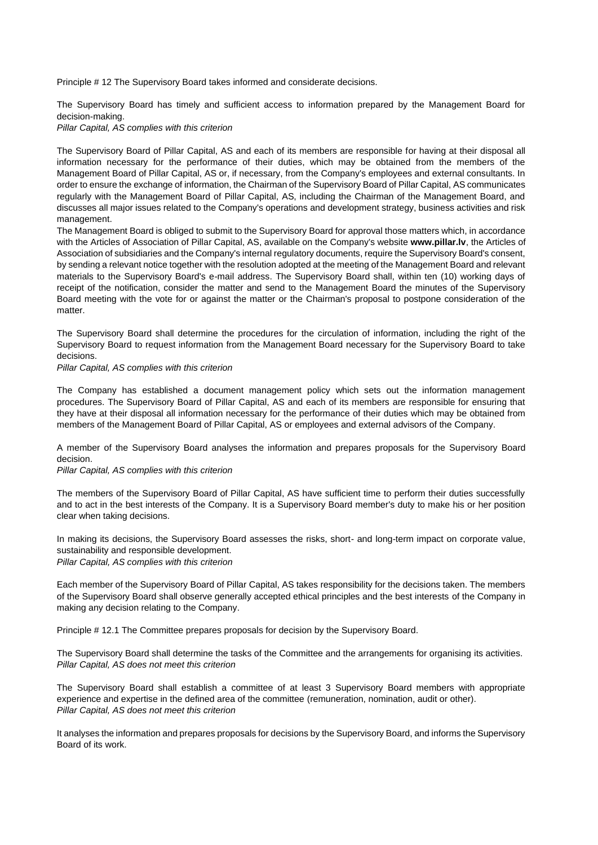<span id="page-9-0"></span>Principle # 12 The Supervisory Board takes informed and considerate decisions.

The Supervisory Board has timely and sufficient access to information prepared by the Management Board for decision-making.

*Pillar Capital, AS complies with this criterion*

The Supervisory Board of Pillar Capital, AS and each of its members are responsible for having at their disposal all information necessary for the performance of their duties, which may be obtained from the members of the Management Board of Pillar Capital, AS or, if necessary, from the Company's employees and external consultants. In order to ensure the exchange of information, the Chairman of the Supervisory Board of Pillar Capital, AS communicates regularly with the Management Board of Pillar Capital, AS, including the Chairman of the Management Board, and discusses all major issues related to the Company's operations and development strategy, business activities and risk management.

The Management Board is obliged to submit to the Supervisory Board for approval those matters which, in accordance with the Articles of Association of Pillar Capital, AS, available on the Company's website **[www.pillar.lv](http://www.pillar.lv/)**, the Articles of Association of subsidiaries and the Company's internal regulatory documents, require the Supervisory Board's consent, by sending a relevant notice together with the resolution adopted at the meeting of the Management Board and relevant materials to the Supervisory Board's e-mail address. The Supervisory Board shall, within ten (10) working days of receipt of the notification, consider the matter and send to the Management Board the minutes of the Supervisory Board meeting with the vote for or against the matter or the Chairman's proposal to postpone consideration of the matter.

The Supervisory Board shall determine the procedures for the circulation of information, including the right of the Supervisory Board to request information from the Management Board necessary for the Supervisory Board to take decisions.

*Pillar Capital, AS complies with this criterion*

The Company has established a document management policy which sets out the information management procedures. The Supervisory Board of Pillar Capital, AS and each of its members are responsible for ensuring that they have at their disposal all information necessary for the performance of their duties which may be obtained from members of the Management Board of Pillar Capital, AS or employees and external advisors of the Company.

A member of the Supervisory Board analyses the information and prepares proposals for the Supervisory Board decision.

*Pillar Capital, AS complies with this criterion*

The members of the Supervisory Board of Pillar Capital, AS have sufficient time to perform their duties successfully and to act in the best interests of the Company. It is a Supervisory Board member's duty to make his or her position clear when taking decisions.

In making its decisions, the Supervisory Board assesses the risks, short- and long-term impact on corporate value, sustainability and responsible development.

*Pillar Capital, AS complies with this criterion*

Each member of the Supervisory Board of Pillar Capital, AS takes responsibility for the decisions taken. The members of the Supervisory Board shall observe generally accepted ethical principles and the best interests of the Company in making any decision relating to the Company.

<span id="page-9-1"></span>Principle # 12.1 The Committee prepares proposals for decision by the Supervisory Board.

The Supervisory Board shall determine the tasks of the Committee and the arrangements for organising its activities. *Pillar Capital, AS does not meet this criterion*

The Supervisory Board shall establish a committee of at least 3 Supervisory Board members with appropriate experience and expertise in the defined area of the committee (remuneration, nomination, audit or other). *Pillar Capital, AS does not meet this criterion*

It analyses the information and prepares proposals for decisions by the Supervisory Board, and informs the Supervisory Board of its work.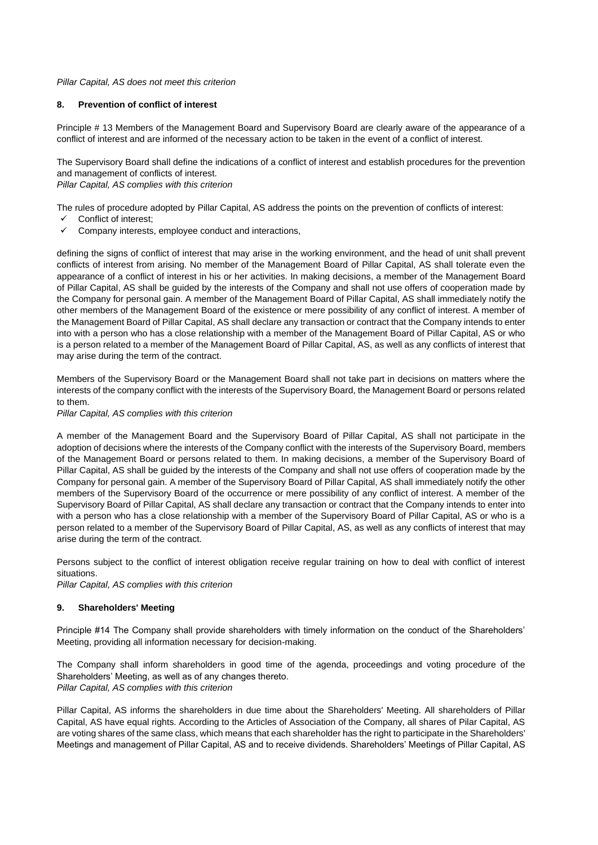#### *Pillar Capital, AS does not meet this criterion*

#### <span id="page-10-0"></span>**8. Prevention of conflict of interest**

<span id="page-10-1"></span>Principle # 13 Members of the Management Board and Supervisory Board are clearly aware of the appearance of a conflict of interest and are informed of the necessary action to be taken in the event of a conflict of interest.

The Supervisory Board shall define the indications of a conflict of interest and establish procedures for the prevention and management of conflicts of interest.

*Pillar Capital, AS complies with this criterion*

The rules of procedure adopted by Pillar Capital, AS address the points on the prevention of conflicts of interest:

- Conflict of interest;
- $\checkmark$  Company interests, employee conduct and interactions,

defining the signs of conflict of interest that may arise in the working environment, and the head of unit shall prevent conflicts of interest from arising. No member of the Management Board of Pillar Capital, AS shall tolerate even the appearance of a conflict of interest in his or her activities. In making decisions, a member of the Management Board of Pillar Capital, AS shall be guided by the interests of the Company and shall not use offers of cooperation made by the Company for personal gain. A member of the Management Board of Pillar Capital, AS shall immediately notify the other members of the Management Board of the existence or mere possibility of any conflict of interest. A member of the Management Board of Pillar Capital, AS shall declare any transaction or contract that the Company intends to enter into with a person who has a close relationship with a member of the Management Board of Pillar Capital, AS or who is a person related to a member of the Management Board of Pillar Capital, AS, as well as any conflicts of interest that may arise during the term of the contract.

Members of the Supervisory Board or the Management Board shall not take part in decisions on matters where the interests of the company conflict with the interests of the Supervisory Board, the Management Board or persons related to them.

#### *Pillar Capital, AS complies with this criterion*

A member of the Management Board and the Supervisory Board of Pillar Capital, AS shall not participate in the adoption of decisions where the interests of the Company conflict with the interests of the Supervisory Board, members of the Management Board or persons related to them. In making decisions, a member of the Supervisory Board of Pillar Capital, AS shall be guided by the interests of the Company and shall not use offers of cooperation made by the Company for personal gain. A member of the Supervisory Board of Pillar Capital, AS shall immediately notify the other members of the Supervisory Board of the occurrence or mere possibility of any conflict of interest. A member of the Supervisory Board of Pillar Capital, AS shall declare any transaction or contract that the Company intends to enter into with a person who has a close relationship with a member of the Supervisory Board of Pillar Capital, AS or who is a person related to a member of the Supervisory Board of Pillar Capital, AS, as well as any conflicts of interest that may arise during the term of the contract.

Persons subject to the conflict of interest obligation receive regular training on how to deal with conflict of interest situations.

*Pillar Capital, AS complies with this criterion*

#### <span id="page-10-2"></span>**9. Shareholders' Meeting**

<span id="page-10-3"></span>Principle #14 The Company shall provide shareholders with timely information on the conduct of the Shareholders' Meeting, providing all information necessary for decision-making.

The Company shall inform shareholders in good time of the agenda, proceedings and voting procedure of the Shareholders' Meeting, as well as of any changes thereto. *Pillar Capital, AS complies with this criterion*

Pillar Capital, AS informs the shareholders in due time about the Shareholders' Meeting. All shareholders of Pillar Capital, AS have equal rights. According to the Articles of Association of the Company, all shares of Pilar Capital, AS are voting shares of the same class, which means that each shareholder has the right to participate in the Shareholders' Meetings and management of Pillar Capital, AS and to receive dividends. Shareholders' Meetings of Pillar Capital, AS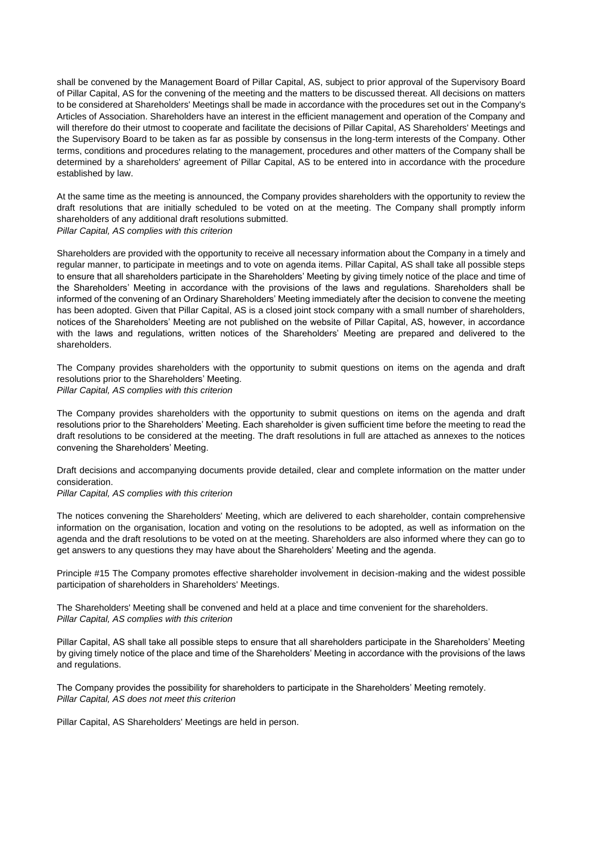shall be convened by the Management Board of Pillar Capital, AS, subject to prior approval of the Supervisory Board of Pillar Capital, AS for the convening of the meeting and the matters to be discussed thereat. All decisions on matters to be considered at Shareholders' Meetings shall be made in accordance with the procedures set out in the Company's Articles of Association. Shareholders have an interest in the efficient management and operation of the Company and will therefore do their utmost to cooperate and facilitate the decisions of Pillar Capital, AS Shareholders' Meetings and the Supervisory Board to be taken as far as possible by consensus in the long-term interests of the Company. Other terms, conditions and procedures relating to the management, procedures and other matters of the Company shall be determined by a shareholders' agreement of Pillar Capital, AS to be entered into in accordance with the procedure established by law.

At the same time as the meeting is announced, the Company provides shareholders with the opportunity to review the draft resolutions that are initially scheduled to be voted on at the meeting. The Company shall promptly inform shareholders of any additional draft resolutions submitted. *Pillar Capital, AS complies with this criterion*

Shareholders are provided with the opportunity to receive all necessary information about the Company in a timely and regular manner, to participate in meetings and to vote on agenda items. Pillar Capital, AS shall take all possible steps to ensure that all shareholders participate in the Shareholders' Meeting by giving timely notice of the place and time of the Shareholders' Meeting in accordance with the provisions of the laws and regulations. Shareholders shall be informed of the convening of an Ordinary Shareholders' Meeting immediately after the decision to convene the meeting has been adopted. Given that Pillar Capital, AS is a closed joint stock company with a small number of shareholders, notices of the Shareholders' Meeting are not published on the website of Pillar Capital, AS, however, in accordance with the laws and regulations, written notices of the Shareholders' Meeting are prepared and delivered to the shareholders.

The Company provides shareholders with the opportunity to submit questions on items on the agenda and draft resolutions prior to the Shareholders' Meeting.

*Pillar Capital, AS complies with this criterion*

The Company provides shareholders with the opportunity to submit questions on items on the agenda and draft resolutions prior to the Shareholders' Meeting. Each shareholder is given sufficient time before the meeting to read the draft resolutions to be considered at the meeting. The draft resolutions in full are attached as annexes to the notices convening the Shareholders' Meeting.

Draft decisions and accompanying documents provide detailed, clear and complete information on the matter under consideration.

#### *Pillar Capital, AS complies with this criterion*

The notices convening the Shareholders' Meeting, which are delivered to each shareholder, contain comprehensive information on the organisation, location and voting on the resolutions to be adopted, as well as information on the agenda and the draft resolutions to be voted on at the meeting. Shareholders are also informed where they can go to get answers to any questions they may have about the Shareholders' Meeting and the agenda.

<span id="page-11-0"></span>Principle #15 The Company promotes effective shareholder involvement in decision-making and the widest possible participation of shareholders in Shareholders' Meetings.

The Shareholders' Meeting shall be convened and held at a place and time convenient for the shareholders. *Pillar Capital, AS complies with this criterion*

Pillar Capital, AS shall take all possible steps to ensure that all shareholders participate in the Shareholders' Meeting by giving timely notice of the place and time of the Shareholders' Meeting in accordance with the provisions of the laws and regulations.

The Company provides the possibility for shareholders to participate in the Shareholders' Meeting remotely. *Pillar Capital, AS does not meet this criterion*

Pillar Capital, AS Shareholders' Meetings are held in person.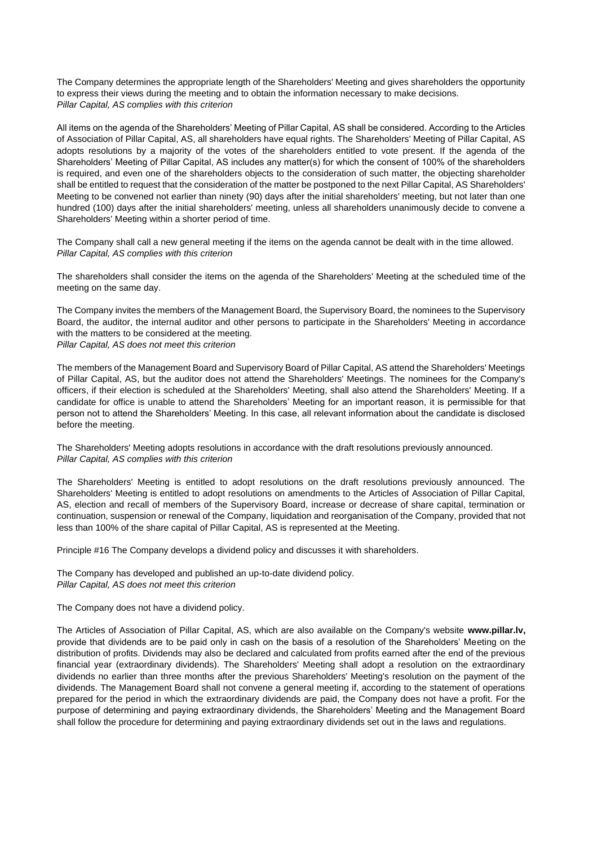The Company determines the appropriate length of the Shareholders' Meeting and gives shareholders the opportunity to express their views during the meeting and to obtain the information necessary to make decisions. *Pillar Capital, AS complies with this criterion*

All items on the agenda of the Shareholders' Meeting of Pillar Capital, AS shall be considered. According to the Articles of Association of Pillar Capital, AS, all shareholders have equal rights. The Shareholders' Meeting of Pillar Capital, AS adopts resolutions by a majority of the votes of the shareholders entitled to vote present. If the agenda of the Shareholders' Meeting of Pillar Capital, AS includes any matter(s) for which the consent of 100% of the shareholders is required, and even one of the shareholders objects to the consideration of such matter, the objecting shareholder shall be entitled to request that the consideration of the matter be postponed to the next Pillar Capital, AS Shareholders' Meeting to be convened not earlier than ninety (90) days after the initial shareholders' meeting, but not later than one hundred (100) days after the initial shareholders' meeting, unless all shareholders unanimously decide to convene a Shareholders' Meeting within a shorter period of time.

The Company shall call a new general meeting if the items on the agenda cannot be dealt with in the time allowed. *Pillar Capital, AS complies with this criterion*

The shareholders shall consider the items on the agenda of the Shareholders' Meeting at the scheduled time of the meeting on the same day.

The Company invites the members of the Management Board, the Supervisory Board, the nominees to the Supervisory Board, the auditor, the internal auditor and other persons to participate in the Shareholders' Meeting in accordance with the matters to be considered at the meeting. *Pillar Capital, AS does not meet this criterion*

The members of the Management Board and Supervisory Board of Pillar Capital, AS attend the Shareholders' Meetings of Pillar Capital, AS, but the auditor does not attend the Shareholders' Meetings. The nominees for the Company's officers, if their election is scheduled at the Shareholders' Meeting, shall also attend the Shareholders' Meeting. If a candidate for office is unable to attend the Shareholders' Meeting for an important reason, it is permissible for that person not to attend the Shareholders' Meeting. In this case, all relevant information about the candidate is disclosed before the meeting.

The Shareholders' Meeting adopts resolutions in accordance with the draft resolutions previously announced. *Pillar Capital, AS complies with this criterion*

The Shareholders' Meeting is entitled to adopt resolutions on the draft resolutions previously announced. The Shareholders' Meeting is entitled to adopt resolutions on amendments to the Articles of Association of Pillar Capital, AS, election and recall of members of the Supervisory Board, increase or decrease of share capital, termination or continuation, suspension or renewal of the Company, liquidation and reorganisation of the Company, provided that not less than 100% of the share capital of Pillar Capital, AS is represented at the Meeting.

<span id="page-12-0"></span>Principle #16 The Company develops a dividend policy and discusses it with shareholders.

The Company has developed and published an up-to-date dividend policy. *Pillar Capital, AS does not meet this criterion*

The Company does not have a dividend policy.

The Articles of Association of Pillar Capital, AS, which are also available on the Company's website **[www.pillar.lv,](http://www.pillar.lv/)** provide that dividends are to be paid only in cash on the basis of a resolution of the Shareholders' Meeting on the distribution of profits. Dividends may also be declared and calculated from profits earned after the end of the previous financial year (extraordinary dividends). The Shareholders' Meeting shall adopt a resolution on the extraordinary dividends no earlier than three months after the previous Shareholders' Meeting's resolution on the payment of the dividends. The Management Board shall not convene a general meeting if, according to the statement of operations prepared for the period in which the extraordinary dividends are paid, the Company does not have a profit. For the purpose of determining and paying extraordinary dividends, the Shareholders' Meeting and the Management Board shall follow the procedure for determining and paying extraordinary dividends set out in the laws and regulations.